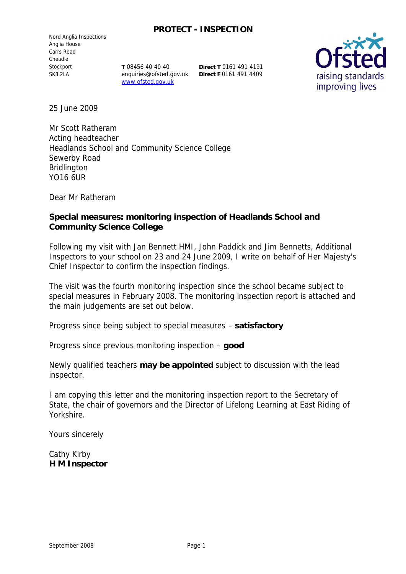### **PROTECT - INSPECTION**

Nord Anglia Inspections Anglia House Carrs Road Cheadle Stockport SK8 2LA

**T** 08456 40 40 40 enquiries@ofsted.gov.uk **Direct F** 0161 491 4409www.ofsted.gov.uk

**Direct T** 0161 491 4191



25 June 2009

Mr Scott Ratheram Acting headteacher Headlands School and Community Science College Sewerby Road Bridlington YO16 6UR

Dear Mr Ratheram

**Special measures: monitoring inspection of Headlands School and Community Science College**

Following my visit with Jan Bennett HMI, John Paddick and Jim Bennetts, Additional Inspectors to your school on 23 and 24 June 2009, I write on behalf of Her Majesty's Chief Inspector to confirm the inspection findings.

The visit was the fourth monitoring inspection since the school became subject to special measures in February 2008. The monitoring inspection report is attached and the main judgements are set out below.

Progress since being subject to special measures – **satisfactory**

Progress since previous monitoring inspection – **good**

Newly qualified teachers **may be appointed** subject to discussion with the lead inspector.

I am copying this letter and the monitoring inspection report to the Secretary of State, the chair of governors and the Director of Lifelong Learning at East Riding of Yorkshire.

Yours sincerely

Cathy Kirby **H M Inspector**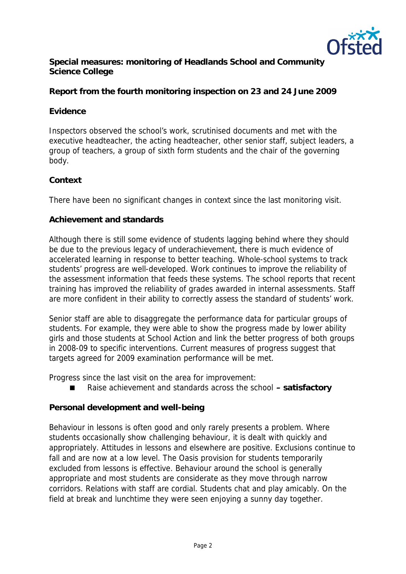

**Special measures: monitoring of Headlands School and Community Science College**

**Report from the fourth monitoring inspection on 23 and 24 June 2009** 

# **Evidence**

Inspectors observed the school's work, scrutinised documents and met with the executive headteacher, the acting headteacher, other senior staff, subject leaders, a group of teachers, a group of sixth form students and the chair of the governing body.

# **Context**

There have been no significant changes in context since the last monitoring visit.

## **Achievement and standards**

Although there is still some evidence of students lagging behind where they should be due to the previous legacy of underachievement, there is much evidence of accelerated learning in response to better teaching. Whole-school systems to track students' progress are well-developed. Work continues to improve the reliability of the assessment information that feeds these systems. The school reports that recent training has improved the reliability of grades awarded in internal assessments. Staff are more confident in their ability to correctly assess the standard of students' work.

Senior staff are able to disaggregate the performance data for particular groups of students. For example, they were able to show the progress made by lower ability girls and those students at School Action and link the better progress of both groups in 2008-09 to specific interventions. Current measures of progress suggest that targets agreed for 2009 examination performance will be met.

Progress since the last visit on the area for improvement:

Raise achievement and standards across the school **– satisfactory**

**Personal development and well-being**

Behaviour in lessons is often good and only rarely presents a problem. Where students occasionally show challenging behaviour, it is dealt with quickly and appropriately. Attitudes in lessons and elsewhere are positive. Exclusions continue to fall and are now at a low level. The Oasis provision for students temporarily excluded from lessons is effective. Behaviour around the school is generally appropriate and most students are considerate as they move through narrow corridors. Relations with staff are cordial. Students chat and play amicably. On the field at break and lunchtime they were seen enjoying a sunny day together.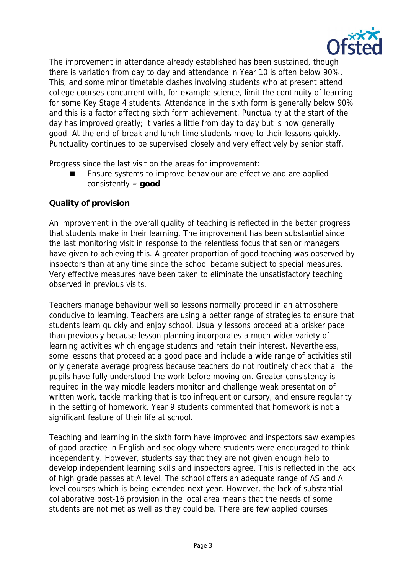

The improvement in attendance already established has been sustained, though there is variation from day to day and attendance in Year 10 is often below 90%. This, and some minor timetable clashes involving students who at present attend college courses concurrent with, for example science, limit the continuity of learning for some Key Stage 4 students. Attendance in the sixth form is generally below 90% and this is a factor affecting sixth form achievement. Punctuality at the start of the day has improved greatly; it varies a little from day to day but is now generally good. At the end of break and lunch time students move to their lessons quickly. Punctuality continues to be supervised closely and very effectively by senior staff.

Progress since the last visit on the areas for improvement:

 Ensure systems to improve behaviour are effective and are applied consistently **– good**

## **Quality of provision**

An improvement in the overall quality of teaching is reflected in the better progress that students make in their learning. The improvement has been substantial since the last monitoring visit in response to the relentless focus that senior managers have given to achieving this. A greater proportion of good teaching was observed by inspectors than at any time since the school became subject to special measures. Very effective measures have been taken to eliminate the unsatisfactory teaching observed in previous visits.

Teachers manage behaviour well so lessons normally proceed in an atmosphere conducive to learning. Teachers are using a better range of strategies to ensure that students learn quickly and enjoy school. Usually lessons proceed at a brisker pace than previously because lesson planning incorporates a much wider variety of learning activities which engage students and retain their interest. Nevertheless, some lessons that proceed at a good pace and include a wide range of activities still only generate average progress because teachers do not routinely check that all the pupils have fully understood the work before moving on. Greater consistency is required in the way middle leaders monitor and challenge weak presentation of written work, tackle marking that is too infrequent or cursory, and ensure regularity in the setting of homework. Year 9 students commented that homework is not a significant feature of their life at school.

Teaching and learning in the sixth form have improved and inspectors saw examples of good practice in English and sociology where students were encouraged to think independently. However, students say that they are not given enough help to develop independent learning skills and inspectors agree. This is reflected in the lack of high grade passes at A level. The school offers an adequate range of AS and A level courses which is being extended next year. However, the lack of substantial collaborative post-16 provision in the local area means that the needs of some students are not met as well as they could be. There are few applied courses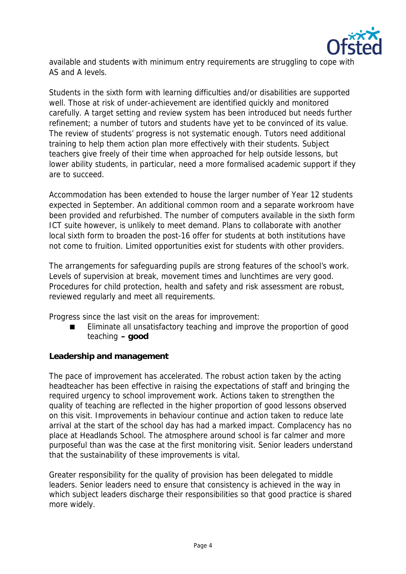

available and students with minimum entry requirements are struggling to cope with AS and A levels.

Students in the sixth form with learning difficulties and/or disabilities are supported well. Those at risk of under-achievement are identified quickly and monitored carefully. A target setting and review system has been introduced but needs further refinement; a number of tutors and students have yet to be convinced of its value. The review of students' progress is not systematic enough. Tutors need additional training to help them action plan more effectively with their students. Subject teachers give freely of their time when approached for help outside lessons, but lower ability students, in particular, need a more formalised academic support if they are to succeed.

Accommodation has been extended to house the larger number of Year 12 students expected in September. An additional common room and a separate workroom have been provided and refurbished. The number of computers available in the sixth form ICT suite however, is unlikely to meet demand. Plans to collaborate with another local sixth form to broaden the post-16 offer for students at both institutions have not come to fruition. Limited opportunities exist for students with other providers.

The arrangements for safeguarding pupils are strong features of the school's work. Levels of supervision at break, movement times and lunchtimes are very good. Procedures for child protection, health and safety and risk assessment are robust, reviewed regularly and meet all requirements.

Progress since the last visit on the areas for improvement:

 Eliminate all unsatisfactory teaching and improve the proportion of good teaching **– good**

**Leadership and management**

The pace of improvement has accelerated. The robust action taken by the acting headteacher has been effective in raising the expectations of staff and bringing the required urgency to school improvement work. Actions taken to strengthen the quality of teaching are reflected in the higher proportion of good lessons observed on this visit. Improvements in behaviour continue and action taken to reduce late arrival at the start of the school day has had a marked impact. Complacency has no place at Headlands School. The atmosphere around school is far calmer and more purposeful than was the case at the first monitoring visit. Senior leaders understand that the sustainability of these improvements is vital.

Greater responsibility for the quality of provision has been delegated to middle leaders. Senior leaders need to ensure that consistency is achieved in the way in which subject leaders discharge their responsibilities so that good practice is shared more widely.